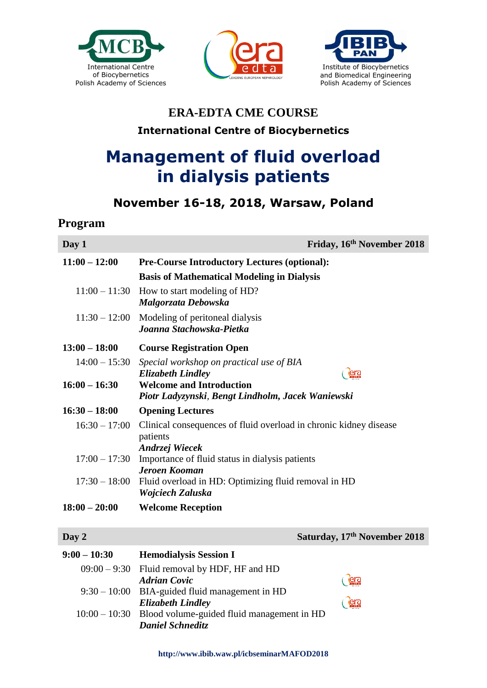





## **ERA-EDTA CME COURSE International Centre of Biocybernetics**

# **Management of fluid overload in dialysis patients**

### **November 16-18, 2018, Warsaw, Poland**

#### **Program**

| Day 1           | Friday, 16th November 2018                                                             |  |
|-----------------|----------------------------------------------------------------------------------------|--|
| $11:00 - 12:00$ | <b>Pre-Course Introductory Lectures (optional):</b>                                    |  |
|                 | <b>Basis of Mathematical Modeling in Dialysis</b>                                      |  |
| $11:00 - 11:30$ | How to start modeling of HD?<br>Malgorzata Debowska                                    |  |
| $11:30 - 12:00$ | Modeling of peritoneal dialysis<br>Joanna Stachowska-Pietka                            |  |
| $13:00 - 18:00$ | <b>Course Registration Open</b>                                                        |  |
| $14:00 - 15:30$ | Special workshop on practical use of BIA<br><b>Elizabeth Lindley</b><br><u>era</u>     |  |
| $16:00 - 16:30$ | <b>Welcome and Introduction</b><br>Piotr Ladyzynski, Bengt Lindholm, Jacek Waniewski   |  |
| $16:30 - 18:00$ | <b>Opening Lectures</b>                                                                |  |
| $16:30 - 17:00$ | Clinical consequences of fluid overload in chronic kidney disease<br>patients          |  |
| $17:00 - 17:30$ | Andrzej Wiecek                                                                         |  |
|                 | Importance of fluid status in dialysis patients<br><b>Jeroen Kooman</b>                |  |
|                 | 17:30 - 18:00 Fluid overload in HD: Optimizing fluid removal in HD<br>Wojciech Zaluska |  |
| $18:00 - 20:00$ | <b>Welcome Reception</b>                                                               |  |

**Day 2 Saturday, 17<sup>th</sup> November 2018** 

| $9:00 - 10:30$ | <b>Hemodialysis Session I</b>                              |                   |
|----------------|------------------------------------------------------------|-------------------|
|                | $09:00 - 9:30$ Fluid removal by HDF, HF and HD             |                   |
|                | <b>Adrian Covic</b>                                        | <b><u>era</u></b> |
|                | $9:30 - 10:00$ BIA-guided fluid management in HD           |                   |
|                | <b>Elizabeth Lindley</b>                                   | <b>lera</b>       |
|                | $10:00 - 10:30$ Blood volume-guided fluid management in HD |                   |
|                | <b>Daniel Schneditz</b>                                    |                   |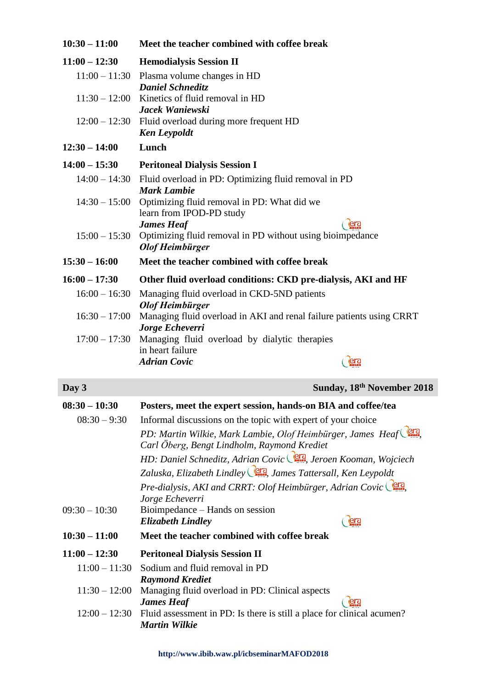| $10:30 - 11:00$ | Meet the teacher combined with coffee break                                                                   |
|-----------------|---------------------------------------------------------------------------------------------------------------|
| $11:00 - 12:30$ | <b>Hemodialysis Session II</b>                                                                                |
|                 | $11:00 - 11:30$ Plasma volume changes in HD                                                                   |
|                 | <b>Daniel Schneditz</b><br>$11:30 - 12:00$ Kinetics of fluid removal in HD<br>Jacek Waniewski                 |
|                 | $12:00 - 12:30$ Fluid overload during more frequent HD<br><b>Ken Leypoldt</b>                                 |
| $12:30 - 14:00$ | Lunch                                                                                                         |
| $14:00 - 15:30$ | <b>Peritoneal Dialysis Session I</b>                                                                          |
|                 | 14:00 - 14:30 Fluid overload in PD: Optimizing fluid removal in PD<br><b>Mark Lambie</b>                      |
| $14:30 - 15:00$ | Optimizing fluid removal in PD: What did we<br>learn from IPOD-PD study                                       |
| $15:00 - 15:30$ | <b>James Heaf</b><br>era<br>Optimizing fluid removal in PD without using bioimpedance<br>Olof Heimbürger      |
| $15:30 - 16:00$ | Meet the teacher combined with coffee break                                                                   |
| $16:00 - 17:30$ | Other fluid overload conditions: CKD pre-dialysis, AKI and HF                                                 |
| $16:00 - 16:30$ | Managing fluid overload in CKD-5ND patients<br>Olof Heimbürger                                                |
|                 | 16:30 – 17:00 Managing fluid overload in AKI and renal failure patients using CRRT<br>Jorge Echeverri         |
|                 | 17:00 - 17:30 Managing fluid overload by dialytic therapies<br>in heart failure                               |
|                 | <b>Adrian Covic</b><br><u>era</u>                                                                             |
| Day 3           | Sunday, 18th November 2018                                                                                    |
| $08:30 - 10:30$ | Posters, meet the expert session, hands-on BIA and coffee/tea                                                 |
| $08:30 - 9:30$  | Informal discussions on the topic with expert of your choice                                                  |
|                 | PD: Martin Wilkie, Mark Lambie, Olof Heimbürger, James Heaf<br>Carl Öberg, Bengt Lindholm, Raymond Krediet    |
|                 | HD: Daniel Schneditz, Adrian Covic <sup>(272</sup> , Jeroen Kooman, Wojciech                                  |
|                 | Zaluska, Elizabeth Lindley <sup>(erg</sup> , James Tattersall, Ken Leypoldt                                   |
|                 | Pre-dialysis, AKI and CRRT: Olof Heimbürger, Adrian Covic<br>Jorge Echeverri                                  |
| $09:30 - 10:30$ | Bioimpedance – Hands on session<br><b>era</b><br><b>Elizabeth Lindley</b>                                     |
| $10:30 - 11:00$ | Meet the teacher combined with coffee break                                                                   |
| $11:00 - 12:30$ | <b>Peritoneal Dialysis Session II</b>                                                                         |
| $11:00 - 11:30$ | Sodium and fluid removal in PD                                                                                |
| $11:30 - 12:00$ | <b>Raymond Krediet</b><br>Managing fluid overload in PD: Clinical aspects<br><b>James Heaf</b><br><b>lera</b> |
| $12:00 - 12:30$ | Fluid assessment in PD: Is there is still a place for clinical acumen?<br><b>Martin Wilkie</b>                |

**http://www.ibib.waw.pl/icbseminarMAFOD2018**